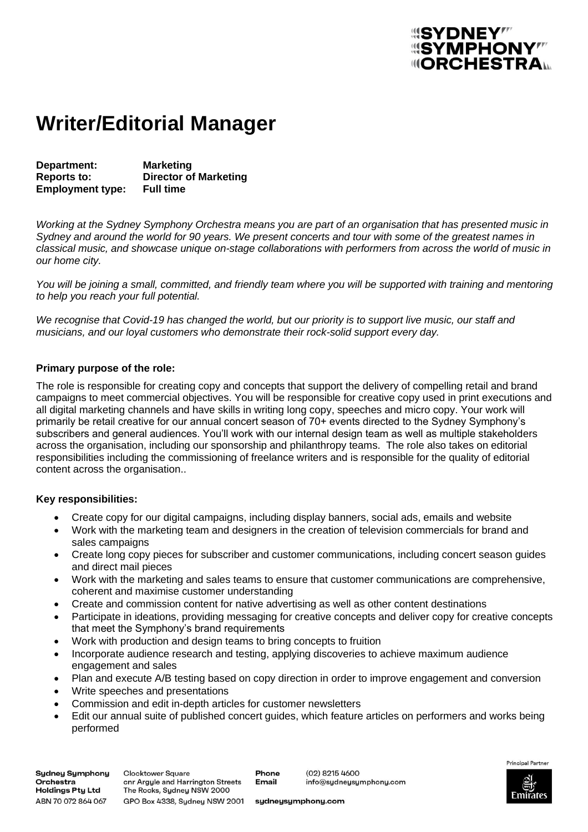# *<u> "SYMPHONY"</u>* **IIIORCHESTRA.**

## **Writer/Editorial Manager**

**Department: Marketing Reports to: Director of Marketing Employment type:** 

*Working at the Sydney Symphony Orchestra means you are part of an organisation that has presented music in Sydney and around the world for 90 years. We present concerts and tour with some of the greatest names in classical music, and showcase unique on-stage collaborations with performers from across the world of music in our home city.* 

*You will be joining a small, committed, and friendly team where you will be supported with training and mentoring to help you reach your full potential.*

*We recognise that Covid-19 has changed the world, but our priority is to support live music, our staff and musicians, and our loyal customers who demonstrate their rock-solid support every day.*

### **Primary purpose of the role:**

The role is responsible for creating copy and concepts that support the delivery of compelling retail and brand campaigns to meet commercial objectives. You will be responsible for creative copy used in print executions and all digital marketing channels and have skills in writing long copy, speeches and micro copy. Your work will primarily be retail creative for our annual concert season of 70+ events directed to the Sydney Symphony's subscribers and general audiences. You'll work with our internal design team as well as multiple stakeholders across the organisation, including our sponsorship and philanthropy teams. The role also takes on editorial responsibilities including the commissioning of freelance writers and is responsible for the quality of editorial content across the organisation..

### **Key responsibilities:**

- Create copy for our digital campaigns, including display banners, social ads, emails and website
- Work with the marketing team and designers in the creation of television commercials for brand and sales campaigns
- Create long copy pieces for subscriber and customer communications, including concert season guides and direct mail pieces
- Work with the marketing and sales teams to ensure that customer communications are comprehensive, coherent and maximise customer understanding
- Create and commission content for native advertising as well as other content destinations
- Participate in ideations, providing messaging for creative concepts and deliver copy for creative concepts that meet the Symphony's brand requirements
- Work with production and design teams to bring concepts to fruition
- Incorporate audience research and testing, applying discoveries to achieve maximum audience engagement and sales
- Plan and execute A/B testing based on copy direction in order to improve engagement and conversion
- Write speeches and presentations
- Commission and edit in-depth articles for customer newsletters
- Edit our annual suite of published concert guides, which feature articles on performers and works being performed

**Sydney Symphony** Orchestra Holdings Pty Ltd ABN 70 072 864 067

**Clocktower Square** onr Argyle and Harrington Streets The Rocks, Sydney NSW 2000 GPO Box 4338, Sydney NSW 2001

Phone **Email** 

(02) 8215 4600 info@sydneysymphony.com



sydneysymphony.com